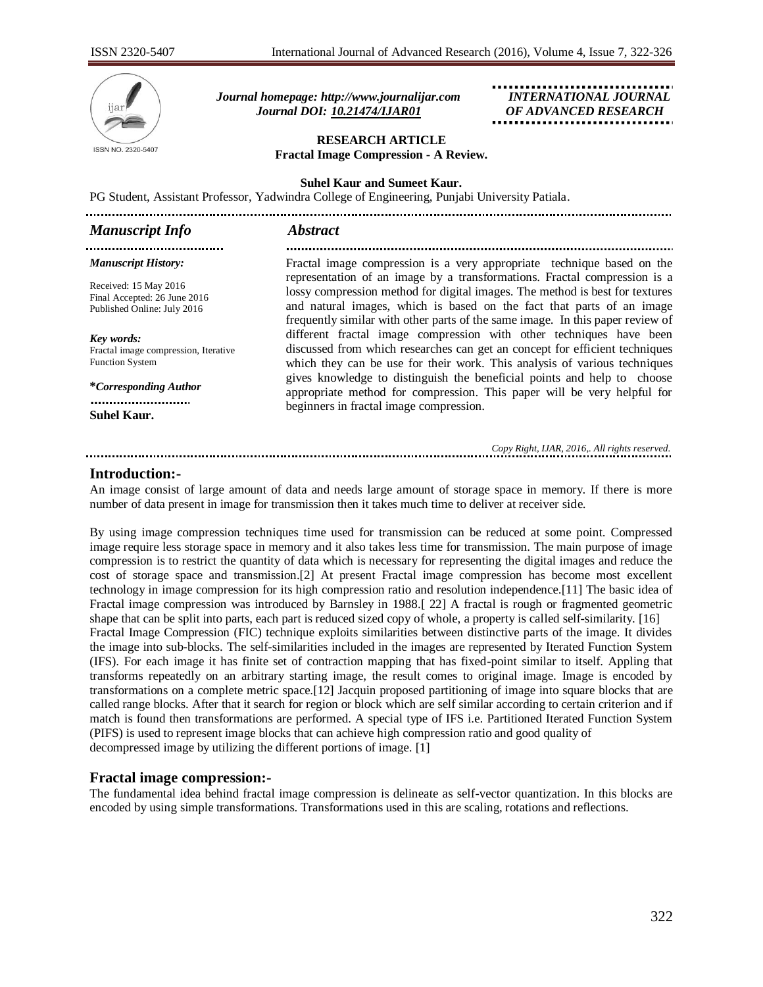

 *Journal homepage: [http://www.journalijar.com](http://www.journalijar.com/) INTERNATIONAL JOURNAL Journal DOI: [10.21474/IJAR01](http://dx.doi.org/10.21474/IJAR01) OF ADVANCED RESEARCH*

### **RESEARCH ARTICLE Fractal Image Compression - A Review.**

#### **Suhel Kaur and Sumeet Kaur.**

PG Student, Assistant Professor, Yadwindra College of Engineering, Punjabi University Patiala.

| <b>Manuscript Info</b>       | <i><b>Abstract</b></i>                                                         |
|------------------------------|--------------------------------------------------------------------------------|
|                              |                                                                                |
| <b>Manuscript History:</b>   | Fractal image compression is a very appropriate technique based on the         |
| Received: 15 May 2016        | representation of an image by a transformations. Fractal compression is a      |
| Final Accepted: 26 June 2016 | lossy compression method for digital images. The method is best for textures   |
| Published Online: July 2016  | and natural images, which is based on the fact that parts of an image          |
|                              | frequently similar with other parts of the same image. In this paper review of |

*Key words:*  Fractal image compression, Iterative Function System

**\****Corresponding Author* ..........................

**Suhel Kaur.**

frequently similar with other parts of the same image. In this paper review of different fractal image compression with other techniques have been discussed from which researches can get an concept for efficient techniques which they can be use for their work. This analysis of various techniques gives knowledge to distinguish the beneficial points and help to choose appropriate method for compression. This paper will be very helpful for beginners in fractal image compression.

*Copy Right, IJAR, 2016,. All rights reserved.*

### **Introduction:-**

An image consist of large amount of data and needs large amount of storage space in memory. If there is more number of data present in image for transmission then it takes much time to deliver at receiver side.

By using image compression techniques time used for transmission can be reduced at some point. Compressed image require less storage space in memory and it also takes less time for transmission. The main purpose of image compression is to restrict the quantity of data which is necessary for representing the digital images and reduce the cost of storage space and transmission.[2] At present Fractal image compression has become most excellent technology in image compression for its high compression ratio and resolution independence.[11] The basic idea of Fractal image compression was introduced by Barnsley in 1988.[ 22] A fractal is rough or fragmented geometric shape that can be split into parts, each part is reduced sized copy of whole, a property is called self-similarity. [16] Fractal Image Compression (FIC) technique exploits similarities between distinctive parts of the image. It divides the image into sub-blocks. The self-similarities included in the images are represented by Iterated Function System (IFS). For each image it has finite set of contraction mapping that has fixed-point similar to itself. Appling that transforms repeatedly on an arbitrary starting image, the result comes to original image. Image is encoded by transformations on a complete metric space.[12] Jacquin proposed partitioning of image into square blocks that are called range blocks. After that it search for region or block which are self similar according to certain criterion and if match is found then transformations are performed. A special type of IFS i.e. Partitioned Iterated Function System (PIFS) is used to represent image blocks that can achieve high compression ratio and good quality of decompressed image by utilizing the different portions of image. [1]

### **Fractal image compression:-**

The fundamental idea behind fractal image compression is delineate as self-vector quantization. In this blocks are encoded by using simple transformations. Transformations used in this are scaling, rotations and reflections.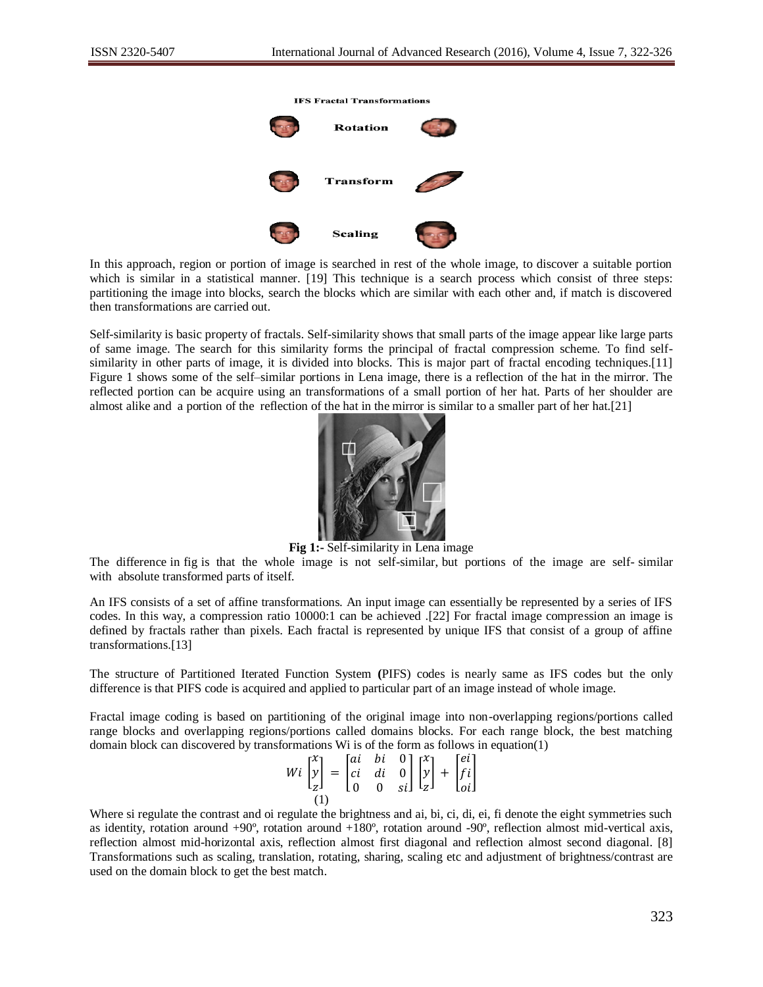

In this approach, region or portion of image is searched in rest of the whole image, to discover a suitable portion which is similar in a statistical manner. [19] This technique is a search process which consist of three steps: partitioning the image into blocks, search the blocks which are similar with each other and, if match is discovered then transformations are carried out.

Self-similarity is basic property of fractals. Self-similarity shows that small parts of the image appear like large parts of same image. The search for this similarity forms the principal of fractal compression scheme. To find selfsimilarity in other parts of image, it is divided into blocks. This is major part of fractal encoding techniques.[11] Figure 1 shows some of the self–similar portions in Lena image, there is a reflection of the hat in the mirror. The reflected portion can be acquire using an transformations of a small portion of her hat. Parts of her shoulder are almost alike and a portion of the reflection of the hat in the mirror is similar to a smaller part of her hat.[21]



**Fig 1:-** Self-similarity in Lena image

The difference in fig is that the whole image is not self-similar, but portions of the image are self- similar with absolute transformed parts of itself.

An IFS consists of a set of affine transformations. An input image can essentially be represented by a series of IFS codes. In this way, a compression ratio 10000:1 can be achieved .[22] For fractal image compression an image is defined by fractals rather than pixels. Each fractal is represented by unique IFS that consist of a group of affine transformations.[13]

The structure of Partitioned Iterated Function System **(**PIFS) codes is nearly same as IFS codes but the only difference is that PIFS code is acquired and applied to particular part of an image instead of whole image.

Fractal image coding is based on partitioning of the original image into non-overlapping regions/portions called range blocks and overlapping regions/portions called domains blocks. For each range block, the best matching domain block can discovered by transformations Wi is of the form as follows in equation(1)

| $Wi\begin{bmatrix} x\\ y\\ z\end{bmatrix} = \begin{bmatrix} ai&bi&0\\ ci&di&0\\ 0&0&si \end{bmatrix} \begin{bmatrix} x\\ y\\ z\end{bmatrix} + \begin{bmatrix} ei\\ fi\\oi \end{bmatrix}$ |  |  |
|------------------------------------------------------------------------------------------------------------------------------------------------------------------------------------------|--|--|
|                                                                                                                                                                                          |  |  |

Where si regulate the contrast and oi regulate the brightness and ai, bi, ci, di, ei, fi denote the eight symmetries such as identity, rotation around +90º, rotation around +180º, rotation around -90º, reflection almost mid-vertical axis, reflection almost mid-horizontal axis, reflection almost first diagonal and reflection almost second diagonal. [8] Transformations such as scaling, translation, rotating, sharing, scaling etc and adjustment of brightness/contrast are used on the domain block to get the best match.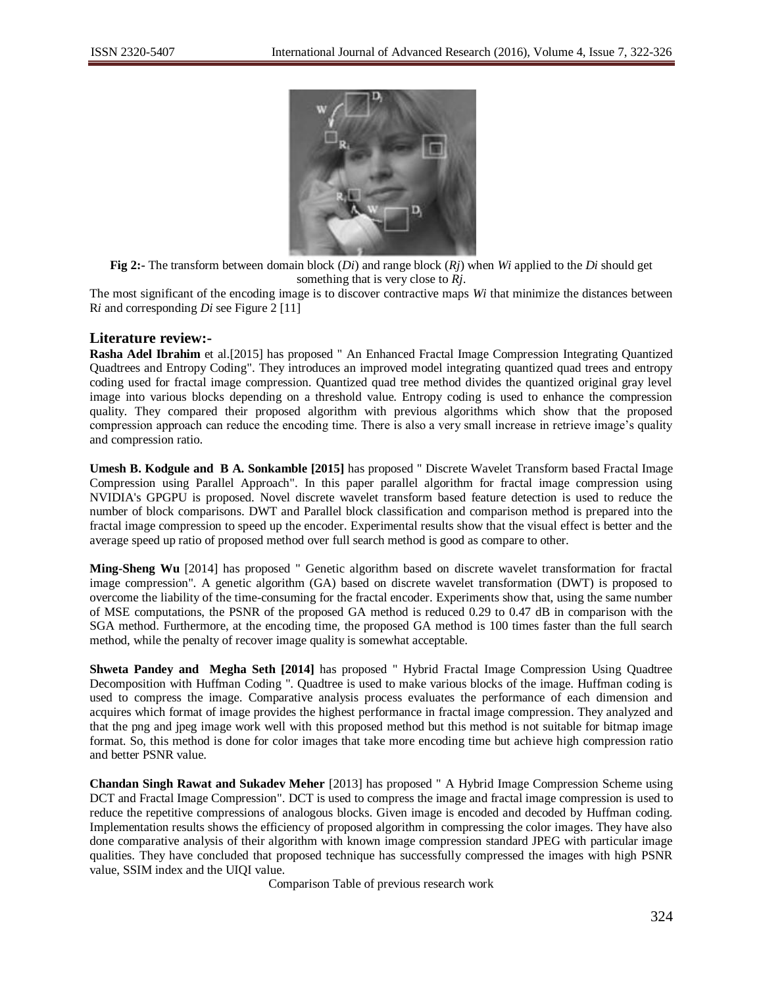

**Fig 2:-** The transform between domain block (*Di*) and range block (*Rj*) when *Wi* applied to the *Di* should get something that is very close to *Rj*.

The most significant of the encoding image is to discover contractive maps *Wi* that minimize the distances between R*i* and corresponding *Di* see Figure 2 [11]

## **Literature review:-**

**Rasha Adel Ibrahim** et al.[2015] has proposed " An Enhanced Fractal Image Compression Integrating Quantized Quadtrees and Entropy Coding". They introduces an improved model integrating quantized quad trees and entropy coding used for fractal image compression. Quantized quad tree method divides the quantized original gray level image into various blocks depending on a threshold value. Entropy coding is used to enhance the compression quality. They compared their proposed algorithm with previous algorithms which show that the proposed compression approach can reduce the encoding time. There is also a very small increase in retrieve image's quality and compression ratio.

**Umesh B. Kodgule and B A. Sonkamble [2015]** has proposed " Discrete Wavelet Transform based Fractal Image Compression using Parallel Approach". In this paper parallel algorithm for fractal image compression using NVIDIA's GPGPU is proposed. Novel discrete wavelet transform based feature detection is used to reduce the number of block comparisons. DWT and Parallel block classification and comparison method is prepared into the fractal image compression to speed up the encoder. Experimental results show that the visual effect is better and the average speed up ratio of proposed method over full search method is good as compare to other.

**Ming-Sheng Wu** [2014] has proposed " Genetic algorithm based on discrete wavelet transformation for fractal image compression". A genetic algorithm (GA) based on discrete wavelet transformation (DWT) is proposed to overcome the liability of the time-consuming for the fractal encoder. Experiments show that, using the same number of MSE computations, the PSNR of the proposed GA method is reduced 0.29 to 0.47 dB in comparison with the SGA method. Furthermore, at the encoding time, the proposed GA method is 100 times faster than the full search method, while the penalty of recover image quality is somewhat acceptable.

**Shweta Pandey and Megha Seth [2014]** has proposed " Hybrid Fractal Image Compression Using Quadtree Decomposition with Huffman Coding ". Quadtree is used to make various blocks of the image. Huffman coding is used to compress the image. Comparative analysis process evaluates the performance of each dimension and acquires which format of image provides the highest performance in fractal image compression. They analyzed and that the png and jpeg image work well with this proposed method but this method is not suitable for bitmap image format. So, this method is done for color images that take more encoding time but achieve high compression ratio and better PSNR value.

**Chandan Singh Rawat and Sukadev Meher** [2013] has proposed " A Hybrid Image Compression Scheme using DCT and Fractal Image Compression". DCT is used to compress the image and fractal image compression is used to reduce the repetitive compressions of analogous blocks. Given image is encoded and decoded by Huffman coding. Implementation results shows the efficiency of proposed algorithm in compressing the color images. They have also done comparative analysis of their algorithm with known image compression standard JPEG with particular image qualities. They have concluded that proposed technique has successfully compressed the images with high PSNR value, SSIM index and the UIQI value.

Comparison Table of previous research work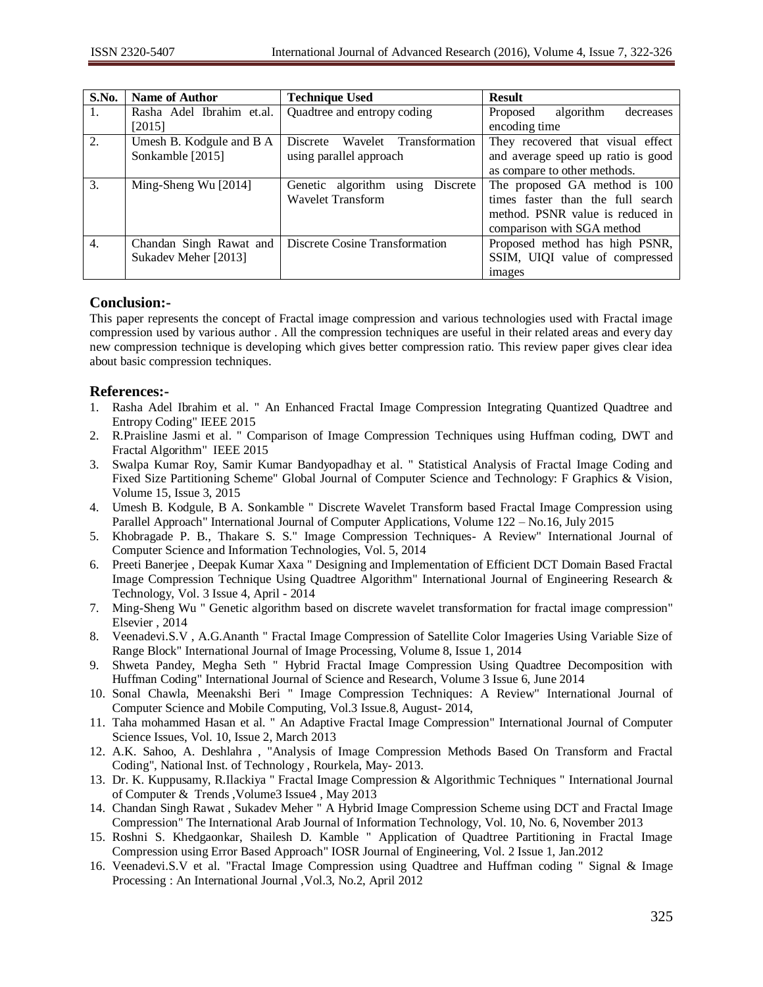| S.No.            | <b>Name of Author</b>     | <b>Technique Used</b>               | <b>Result</b>                      |
|------------------|---------------------------|-------------------------------------|------------------------------------|
| 1.               | Rasha Adel Ibrahim et.al. | Quadtree and entropy coding         | algorithm<br>Proposed<br>decreases |
|                  | [2015]                    |                                     | encoding time                      |
| 2.               | Umesh B. Kodgule and B A  | Wavelet Transformation<br>Discrete  | They recovered that visual effect  |
|                  | Sonkamble [2015]          | using parallel approach             | and average speed up ratio is good |
|                  |                           |                                     | as compare to other methods.       |
| 3.               | Ming-Sheng Wu [2014]      | Genetic algorithm using<br>Discrete | The proposed GA method is 100      |
|                  |                           | <b>Wavelet Transform</b>            | times faster than the full search  |
|                  |                           |                                     | method. PSNR value is reduced in   |
|                  |                           |                                     | comparison with SGA method         |
| $\overline{4}$ . | Chandan Singh Rawat and   | Discrete Cosine Transformation      | Proposed method has high PSNR,     |
|                  | Sukadev Meher [2013]      |                                     | SSIM, UIQI value of compressed     |
|                  |                           |                                     | images                             |

# **Conclusion:-**

This paper represents the concept of Fractal image compression and various technologies used with Fractal image compression used by various author . All the compression techniques are useful in their related areas and every day new compression technique is developing which gives better compression ratio. This review paper gives clear idea about basic compression techniques.

# **References:-**

- 1. Rasha Adel Ibrahim et al. " An Enhanced Fractal Image Compression Integrating Quantized Quadtree and Entropy Coding" IEEE 2015
- 2. R.Praisline Jasmi et al. " Comparison of Image Compression Techniques using Huffman coding, DWT and Fractal Algorithm" IEEE 2015
- 3. Swalpa Kumar Roy, Samir Kumar Bandyopadhay et al. " Statistical Analysis of Fractal Image Coding and Fixed Size Partitioning Scheme" Global Journal of Computer Science and Technology: F Graphics & Vision, Volume 15, Issue 3, 2015
- 4. Umesh B. Kodgule, B A. Sonkamble " Discrete Wavelet Transform based Fractal Image Compression using Parallel Approach" International Journal of Computer Applications, Volume 122 – No.16, July 2015
- 5. Khobragade P. B., Thakare S. S." Image Compression Techniques- A Review" International Journal of Computer Science and Information Technologies, Vol. 5, 2014
- 6. Preeti Banerjee , Deepak Kumar Xaxa " Designing and Implementation of Efficient DCT Domain Based Fractal Image Compression Technique Using Quadtree Algorithm" International Journal of Engineering Research & Technology, Vol. 3 Issue 4, April - 2014
- 7. Ming-Sheng Wu " Genetic algorithm based on discrete wavelet transformation for fractal image compression" Elsevier , 2014
- 8. Veenadevi.S.V , A.G.Ananth " Fractal Image Compression of Satellite Color Imageries Using Variable Size of Range Block" International Journal of Image Processing, Volume 8, Issue 1, 2014
- 9. Shweta Pandey, Megha Seth " Hybrid Fractal Image Compression Using Quadtree Decomposition with Huffman Coding" International Journal of Science and Research, Volume 3 Issue 6, June 2014
- 10. Sonal Chawla, Meenakshi Beri " Image Compression Techniques: A Review" International Journal of Computer Science and Mobile Computing, Vol.3 Issue.8, August- 2014,
- 11. Taha mohammed Hasan et al. " An Adaptive Fractal Image Compression" International Journal of Computer Science Issues, Vol. 10, Issue 2, March 2013
- 12. A.K. Sahoo, A. Deshlahra , "Analysis of Image Compression Methods Based On Transform and Fractal Coding", National Inst. of Technology , Rourkela, May- 2013.
- 13. Dr. K. Kuppusamy, R.Ilackiya " Fractal Image Compression & Algorithmic Techniques " International Journal of Computer & Trends ,Volume3 Issue4 , May 2013
- 14. Chandan Singh Rawat , Sukadev Meher " A Hybrid Image Compression Scheme using DCT and Fractal Image Compression" The International Arab Journal of Information Technology, Vol. 10, No. 6, November 2013
- 15. Roshni S. Khedgaonkar, Shailesh D. Kamble " Application of Quadtree Partitioning in Fractal Image Compression using Error Based Approach" IOSR Journal of Engineering, Vol. 2 Issue 1, Jan.2012
- 16. Veenadevi.S.V et al. "Fractal Image Compression using Quadtree and Huffman coding " Signal & Image Processing : An International Journal ,Vol.3, No.2, April 2012